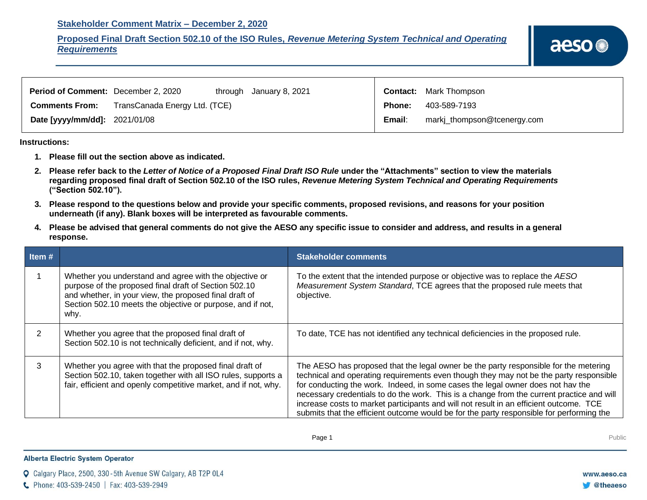## **Stakeholder Comment Matrix – December 2, 2020**

## **Proposed Final Draft Section 502.10 of the ISO Rules,** *Revenue Metering System Technical and Operating Requirements*

| <b>Period of Comment:</b> December 2, 2020 |                               | through January 8, 2021 |               | <b>Contact:</b> Mark Thompson |
|--------------------------------------------|-------------------------------|-------------------------|---------------|-------------------------------|
| <b>Comments From:</b>                      | TransCanada Energy Ltd. (TCE) |                         | <b>Phone:</b> | 403-589-7193                  |
| Date [yyyy/mm/dd]: 2021/01/08              |                               |                         | Email:        | markj_thompson@tcenergy.com   |

**Instructions:** 

- **1. Please fill out the section above as indicated.**
- **2. Please refer back to the** *Letter of Notice of a Proposed Final Draft ISO Rule* **under the "Attachments" section to view the materials regarding proposed final draft of Section 502.10 of the ISO rules,** *Revenue Metering System Technical and Operating Requirements* **("Section 502.10").**
- **3. Please respond to the questions below and provide your specific comments, proposed revisions, and reasons for your position underneath (if any). Blank boxes will be interpreted as favourable comments.**
- **4. Please be advised that general comments do not give the AESO any specific issue to consider and address, and results in a general response.**

| Item $#$ |                                                                                                                                                                                                                                                 | <b>Stakeholder comments</b>                                                                                                                                                                                                                                                                                                                                                                                                                                                                                                                          |
|----------|-------------------------------------------------------------------------------------------------------------------------------------------------------------------------------------------------------------------------------------------------|------------------------------------------------------------------------------------------------------------------------------------------------------------------------------------------------------------------------------------------------------------------------------------------------------------------------------------------------------------------------------------------------------------------------------------------------------------------------------------------------------------------------------------------------------|
|          | Whether you understand and agree with the objective or<br>purpose of the proposed final draft of Section 502.10<br>and whether, in your view, the proposed final draft of<br>Section 502.10 meets the objective or purpose, and if not,<br>why. | To the extent that the intended purpose or objective was to replace the AESO<br>Measurement System Standard, TCE agrees that the proposed rule meets that<br>objective.                                                                                                                                                                                                                                                                                                                                                                              |
|          | Whether you agree that the proposed final draft of<br>Section 502.10 is not technically deficient, and if not, why.                                                                                                                             | To date, TCE has not identified any technical deficiencies in the proposed rule.                                                                                                                                                                                                                                                                                                                                                                                                                                                                     |
| 3        | Whether you agree with that the proposed final draft of<br>Section 502.10, taken together with all ISO rules, supports a<br>fair, efficient and openly competitive market, and if not, why.                                                     | The AESO has proposed that the legal owner be the party responsible for the metering<br>technical and operating requirements even though they may not be the party responsible<br>for conducting the work. Indeed, in some cases the legal owner does not hav the<br>necessary credentials to do the work. This is a change from the current practice and will<br>increase costs to market participants and will not result in an efficient outcome. TCE<br>submits that the efficient outcome would be for the party responsible for performing the |

## **Alberta Electric System Operator**

Q Calgary Place, 2500, 330-5th Avenue SW Calgary, AB T2P 0L4

C Phone: 403-539-2450 | Fax: 403-539-2949

www.aeso.ca

**C**theaeso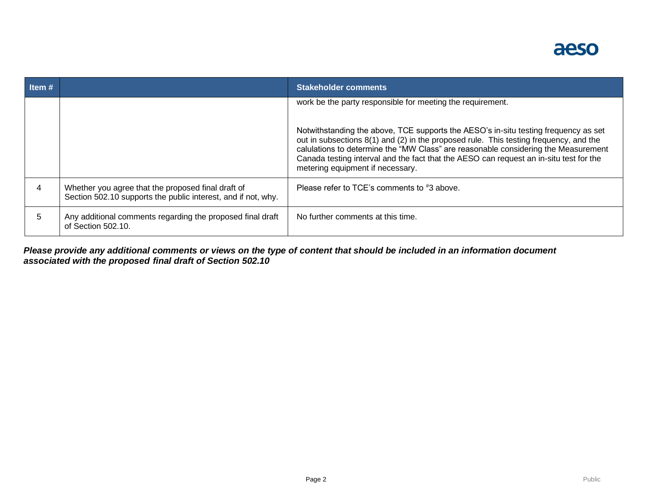

| Item# |                                                                                                                     | <b>Stakeholder comments</b>                                                                                                                                                                                                                                                                                                                                                                      |
|-------|---------------------------------------------------------------------------------------------------------------------|--------------------------------------------------------------------------------------------------------------------------------------------------------------------------------------------------------------------------------------------------------------------------------------------------------------------------------------------------------------------------------------------------|
|       |                                                                                                                     | work be the party responsible for meeting the requirement.                                                                                                                                                                                                                                                                                                                                       |
|       |                                                                                                                     | Notwithstanding the above, TCE supports the AESO's in-situ testing frequency as set<br>out in subsections 8(1) and (2) in the proposed rule. This testing frequency, and the<br>calulations to determine the "MW Class" are reasonable considering the Measurement<br>Canada testing interval and the fact that the AESO can request an in-situ test for the<br>metering equipment if necessary. |
|       | Whether you agree that the proposed final draft of<br>Section 502.10 supports the public interest, and if not, why. | Please refer to TCE's comments to #3 above.                                                                                                                                                                                                                                                                                                                                                      |
| 5     | Any additional comments regarding the proposed final draft<br>of Section 502.10.                                    | No further comments at this time.                                                                                                                                                                                                                                                                                                                                                                |

*Please provide any additional comments or views on the type of content that should be included in an information document associated with the proposed final draft of Section 502.10*